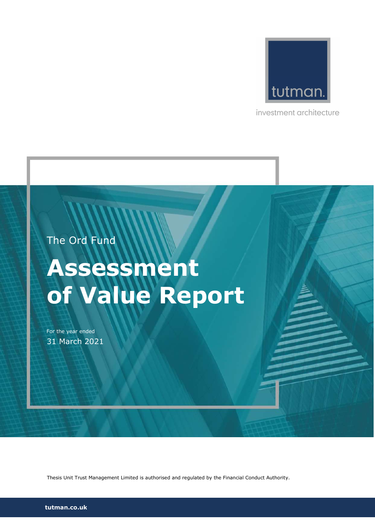

investment architecture

# The Ord Fund

# Assessment of Value Report

For the year ended 31 March 2021

Thesis Unit Trust Management Limited is authorised and regulated by the Financial Conduct Authority.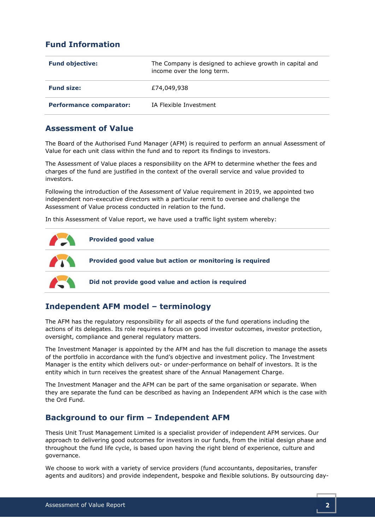# Fund Information

| <b>Fund objective:</b>         | The Company is designed to achieve growth in capital and<br>income over the long term. |
|--------------------------------|----------------------------------------------------------------------------------------|
| <b>Fund size:</b>              | £74,049,938                                                                            |
| <b>Performance comparator:</b> | IA Flexible Investment                                                                 |

#### Assessment of Value

The Board of the Authorised Fund Manager (AFM) is required to perform an annual Assessment of Value for each unit class within the fund and to report its findings to investors.

The Assessment of Value places a responsibility on the AFM to determine whether the fees and charges of the fund are justified in the context of the overall service and value provided to investors.

Following the introduction of the Assessment of Value requirement in 2019, we appointed two independent non-executive directors with a particular remit to oversee and challenge the Assessment of Value process conducted in relation to the fund.

In this Assessment of Value report, we have used a traffic light system whereby:



# Independent AFM model – terminology

The AFM has the regulatory responsibility for all aspects of the fund operations including the actions of its delegates. Its role requires a focus on good investor outcomes, investor protection, oversight, compliance and general regulatory matters.

The Investment Manager is appointed by the AFM and has the full discretion to manage the assets of the portfolio in accordance with the fund's objective and investment policy. The Investment Manager is the entity which delivers out- or under-performance on behalf of investors. It is the entity which in turn receives the greatest share of the Annual Management Charge.

The Investment Manager and the AFM can be part of the same organisation or separate. When they are separate the fund can be described as having an Independent AFM which is the case with the Ord Fund.

#### Background to our firm – Independent AFM

Thesis Unit Trust Management Limited is a specialist provider of independent AFM services. Our approach to delivering good outcomes for investors in our funds, from the initial design phase and throughout the fund life cycle, is based upon having the right blend of experience, culture and governance.

We choose to work with a variety of service providers (fund accountants, depositaries, transfer agents and auditors) and provide independent, bespoke and flexible solutions. By outsourcing day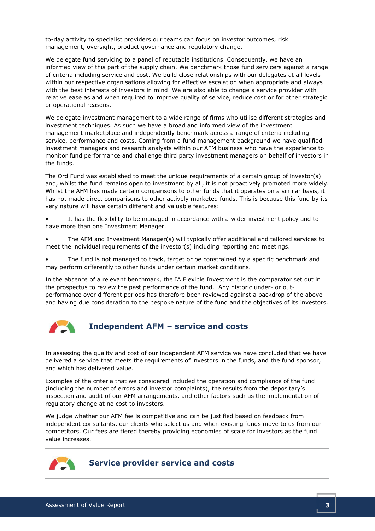to-day activity to specialist providers our teams can focus on investor outcomes, risk management, oversight, product governance and regulatory change.

We delegate fund servicing to a panel of reputable institutions. Consequently, we have an informed view of this part of the supply chain. We benchmark those fund servicers against a range of criteria including service and cost. We build close relationships with our delegates at all levels within our respective organisations allowing for effective escalation when appropriate and always with the best interests of investors in mind. We are also able to change a service provider with relative ease as and when required to improve quality of service, reduce cost or for other strategic or operational reasons.

We delegate investment management to a wide range of firms who utilise different strategies and investment techniques. As such we have a broad and informed view of the investment management marketplace and independently benchmark across a range of criteria including service, performance and costs. Coming from a fund management background we have qualified investment managers and research analysts within our AFM business who have the experience to monitor fund performance and challenge third party investment managers on behalf of investors in the funds.

The Ord Fund was established to meet the unique requirements of a certain group of investor(s) and, whilst the fund remains open to investment by all, it is not proactively promoted more widely. Whilst the AFM has made certain comparisons to other funds that it operates on a similar basis, it has not made direct comparisons to other actively marketed funds. This is because this fund by its very nature will have certain different and valuable features:

It has the flexibility to be managed in accordance with a wider investment policy and to have more than one Investment Manager.

• The AFM and Investment Manager(s) will typically offer additional and tailored services to meet the individual requirements of the investor(s) including reporting and meetings.

The fund is not managed to track, target or be constrained by a specific benchmark and may perform differently to other funds under certain market conditions.

In the absence of a relevant benchmark, the IA Flexible Investment is the comparator set out in the prospectus to review the past performance of the fund. Any historic under- or outperformance over different periods has therefore been reviewed against a backdrop of the above and having due consideration to the bespoke nature of the fund and the objectives of its investors.



#### Independent AFM – service and costs

In assessing the quality and cost of our independent AFM service we have concluded that we have delivered a service that meets the requirements of investors in the funds, and the fund sponsor, and which has delivered value.

Examples of the criteria that we considered included the operation and compliance of the fund (including the number of errors and investor complaints), the results from the depositary's inspection and audit of our AFM arrangements, and other factors such as the implementation of regulatory change at no cost to investors.

We judge whether our AFM fee is competitive and can be justified based on feedback from independent consultants, our clients who select us and when existing funds move to us from our competitors. Our fees are tiered thereby providing economies of scale for investors as the fund value increases.

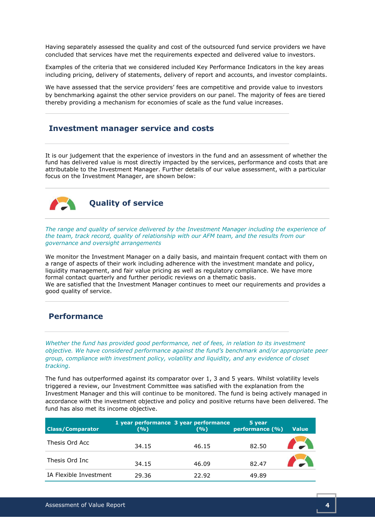Having separately assessed the quality and cost of the outsourced fund service providers we have concluded that services have met the requirements expected and delivered value to investors.

Examples of the criteria that we considered included Key Performance Indicators in the key areas including pricing, delivery of statements, delivery of report and accounts, and investor complaints.

We have assessed that the service providers' fees are competitive and provide value to investors by benchmarking against the other service providers on our panel. The majority of fees are tiered thereby providing a mechanism for economies of scale as the fund value increases.

#### Investment manager service and costs

It is our judgement that the experience of investors in the fund and an assessment of whether the fund has delivered value is most directly impacted by the services, performance and costs that are attributable to the Investment Manager. Further details of our value assessment, with a particular focus on the Investment Manager, are shown below:



Quality of service

The range and quality of service delivered by the Investment Manager including the experience of the team, track record, quality of relationship with our AFM team, and the results from our governance and oversight arrangements

We monitor the Investment Manager on a daily basis, and maintain frequent contact with them on a range of aspects of their work including adherence with the investment mandate and policy, liquidity management, and fair value pricing as well as regulatory compliance. We have more formal contact quarterly and further periodic reviews on a thematic basis. We are satisfied that the Investment Manager continues to meet our requirements and provides a good quality of service.

### Performance

Whether the fund has provided good performance, net of fees, in relation to its investment objective. We have considered performance against the fund's benchmark and/or appropriate peer group, compliance with investment policy, volatility and liquidity, and any evidence of closet tracking.

The fund has outperformed against its comparator over 1, 3 and 5 years. Whilst volatility levels triggered a review, our Investment Committee was satisfied with the explanation from the Investment Manager and this will continue to be monitored. The fund is being actively managed in accordance with the investment objective and policy and positive returns have been delivered. The fund has also met its income objective.

| <b>Class/Comparator</b> | (%)   | 1 year performance 3 year performance<br>(9/0) | 5 year<br>performance (%) | <b>Value</b> |
|-------------------------|-------|------------------------------------------------|---------------------------|--------------|
| Thesis Ord Acc          | 34.15 | 46.15                                          | 82.50                     |              |
| Thesis Ord Inc          | 34.15 | 46.09                                          | 82.47                     |              |
| IA Flexible Investment  | 29.36 | 22.92                                          | 49.89                     |              |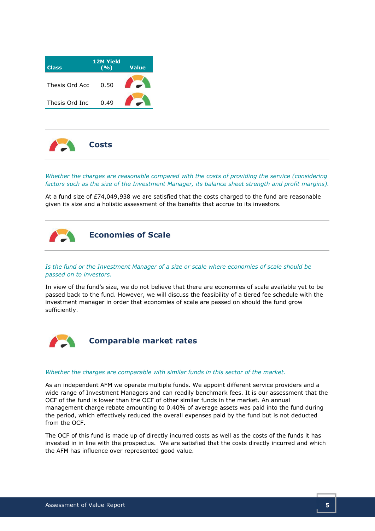| <b>Class</b>   | <b>12M Yield</b><br>(9/0) | <b>Value</b> |
|----------------|---------------------------|--------------|
| Thesis Ord Acc | 0.50                      |              |
| Thesis Ord Inc | 0.49                      |              |



Whether the charges are reasonable compared with the costs of providing the service (considering factors such as the size of the Investment Manager, its balance sheet strength and profit margins).

At a fund size of £74,049,938 we are satisfied that the costs charged to the fund are reasonable given its size and a holistic assessment of the benefits that accrue to its investors.



#### Is the fund or the Investment Manager of a size or scale where economies of scale should be passed on to investors.

In view of the fund's size, we do not believe that there are economies of scale available yet to be passed back to the fund. However, we will discuss the feasibility of a tiered fee schedule with the investment manager in order that economies of scale are passed on should the fund grow sufficiently.



Comparable market rates

#### Whether the charges are comparable with similar funds in this sector of the market.

As an independent AFM we operate multiple funds. We appoint different service providers and a wide range of Investment Managers and can readily benchmark fees. It is our assessment that the OCF of the fund is lower than the OCF of other similar funds in the market. An annual management charge rebate amounting to 0.40% of average assets was paid into the fund during the period, which effectively reduced the overall expenses paid by the fund but is not deducted from the OCF.

The OCF of this fund is made up of directly incurred costs as well as the costs of the funds it has invested in in line with the prospectus. We are satisfied that the costs directly incurred and which the AFM has influence over represented good value.